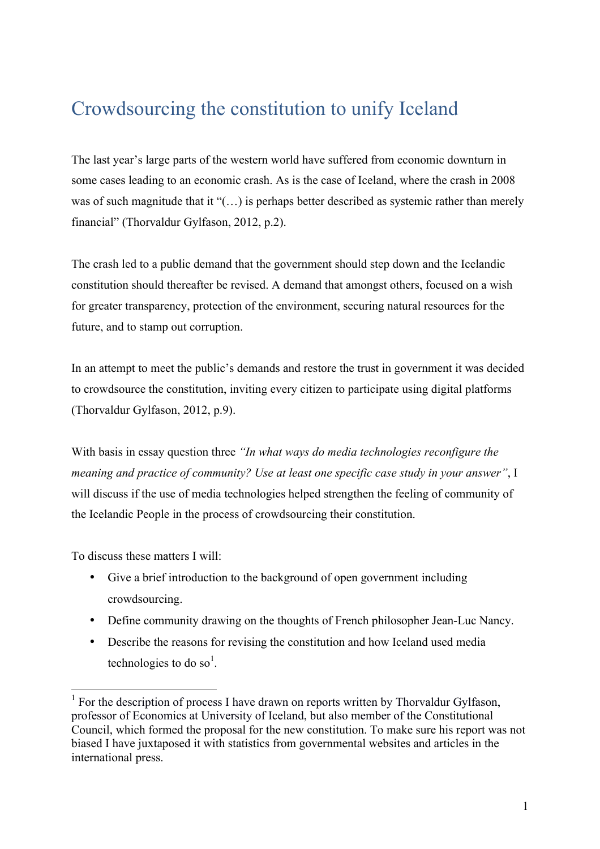## Crowdsourcing the constitution to unify Iceland

The last year's large parts of the western world have suffered from economic downturn in some cases leading to an economic crash. As is the case of Iceland, where the crash in 2008 was of such magnitude that it "(...) is perhaps better described as systemic rather than merely financial" (Thorvaldur Gylfason, 2012, p.2).

The crash led to a public demand that the government should step down and the Icelandic constitution should thereafter be revised. A demand that amongst others, focused on a wish for greater transparency, protection of the environment, securing natural resources for the future, and to stamp out corruption.

In an attempt to meet the public's demands and restore the trust in government it was decided to crowdsource the constitution, inviting every citizen to participate using digital platforms (Thorvaldur Gylfason, 2012, p.9).

With basis in essay question three *"In what ways do media technologies reconfigure the meaning and practice of community? Use at least one specific case study in your answer"*, I will discuss if the use of media technologies helped strengthen the feeling of community of the Icelandic People in the process of crowdsourcing their constitution.

To discuss these matters I will:

- Give a brief introduction to the background of open government including crowdsourcing.
- Define community drawing on the thoughts of French philosopher Jean-Luc Nancy.
- Describe the reasons for revising the constitution and how Iceland used media technologies to do so<sup>1</sup>.

 $1$  For the description of process I have drawn on reports written by Thorvaldur Gylfason, professor of Economics at University of Iceland, but also member of the Constitutional Council, which formed the proposal for the new constitution. To make sure his report was not biased I have juxtaposed it with statistics from governmental websites and articles in the international press.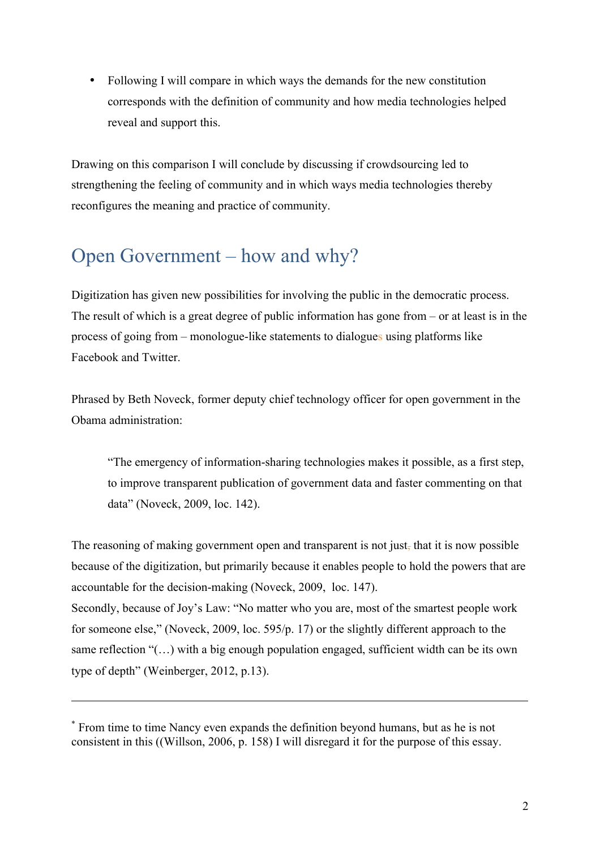• Following I will compare in which ways the demands for the new constitution corresponds with the definition of community and how media technologies helped reveal and support this.

Drawing on this comparison I will conclude by discussing if crowdsourcing led to strengthening the feeling of community and in which ways media technologies thereby reconfigures the meaning and practice of community.

### Open Government – how and why?

Digitization has given new possibilities for involving the public in the democratic process. The result of which is a great degree of public information has gone from – or at least is in the process of going from – monologue-like statements to dialogues using platforms like Facebook and Twitter.

Phrased by Beth Noveck, former deputy chief technology officer for open government in the Obama administration:

"The emergency of information-sharing technologies makes it possible, as a first step, to improve transparent publication of government data and faster commenting on that data" (Noveck, 2009, loc. 142).

The reasoning of making government open and transparent is not just, that it is now possible because of the digitization, but primarily because it enables people to hold the powers that are accountable for the decision-making (Noveck, 2009, loc. 147). Secondly, because of Joy's Law: "No matter who you are, most of the smartest people work for someone else," (Noveck, 2009, loc. 595/p. 17) or the slightly different approach to the same reflection "(…) with a big enough population engaged, sufficient width can be its own type of depth" (Weinberger, 2012, p.13).

1

<sup>\*</sup> From time to time Nancy even expands the definition beyond humans, but as he is not consistent in this ((Willson, 2006, p. 158) I will disregard it for the purpose of this essay.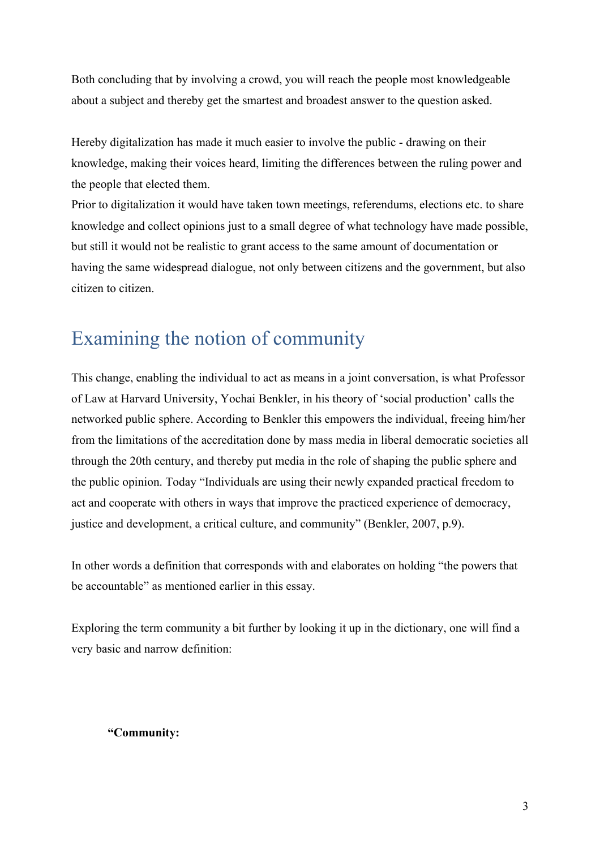Both concluding that by involving a crowd, you will reach the people most knowledgeable about a subject and thereby get the smartest and broadest answer to the question asked.

Hereby digitalization has made it much easier to involve the public - drawing on their knowledge, making their voices heard, limiting the differences between the ruling power and the people that elected them.

Prior to digitalization it would have taken town meetings, referendums, elections etc. to share knowledge and collect opinions just to a small degree of what technology have made possible, but still it would not be realistic to grant access to the same amount of documentation or having the same widespread dialogue, not only between citizens and the government, but also citizen to citizen.

## Examining the notion of community

This change, enabling the individual to act as means in a joint conversation, is what Professor of Law at Harvard University, Yochai Benkler, in his theory of 'social production' calls the networked public sphere. According to Benkler this empowers the individual, freeing him/her from the limitations of the accreditation done by mass media in liberal democratic societies all through the 20th century, and thereby put media in the role of shaping the public sphere and the public opinion. Today "Individuals are using their newly expanded practical freedom to act and cooperate with others in ways that improve the practiced experience of democracy, justice and development, a critical culture, and community" (Benkler, 2007, p.9).

In other words a definition that corresponds with and elaborates on holding "the powers that be accountable" as mentioned earlier in this essay.

Exploring the term community a bit further by looking it up in the dictionary, one will find a very basic and narrow definition:

#### **"Community:**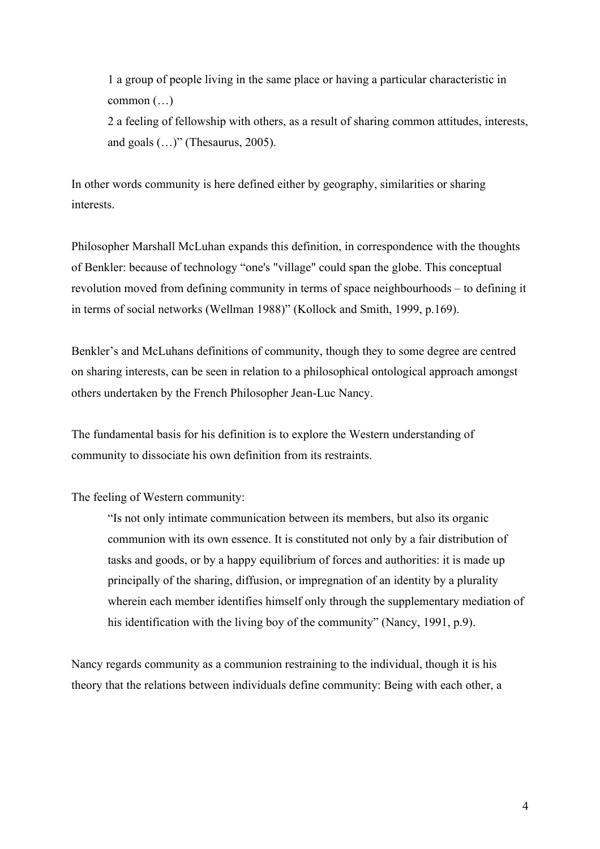1 a group of people living in the same place or having a particular characteristic in common (…) 2 a feeling of fellowship with others, as a result of sharing common attitudes, interests,

and goals  $(...)$ " (Thesaurus, 2005).

In other words community is here defined either by geography, similarities or sharing interests.

Philosopher Marshall McLuhan expands this definition, in correspondence with the thoughts of Benkler: because of technology "one's "village" could span the globe. This conceptual revolution moved from defining community in terms of space neighbourhoods – to defining it in terms of social networks (Wellman 1988)" (Kollock and Smith, 1999, p.169).

Benkler's and McLuhans definitions of community, though they to some degree are centred on sharing interests, can be seen in relation to a philosophical ontological approach amongst others undertaken by the French Philosopher Jean-Luc Nancy.

The fundamental basis for his definition is to explore the Western understanding of community to dissociate his own definition from its restraints.

The feeling of Western community:

"Is not only intimate communication between its members, but also its organic communion with its own essence. It is constituted not only by a fair distribution of tasks and goods, or by a happy equilibrium of forces and authorities: it is made up principally of the sharing, diffusion, or impregnation of an identity by a plurality wherein each member identifies himself only through the supplementary mediation of his identification with the living boy of the community" (Nancy, 1991, p.9).

Nancy regards community as a communion restraining to the individual, though it is his theory that the relations between individuals define community: Being with each other, a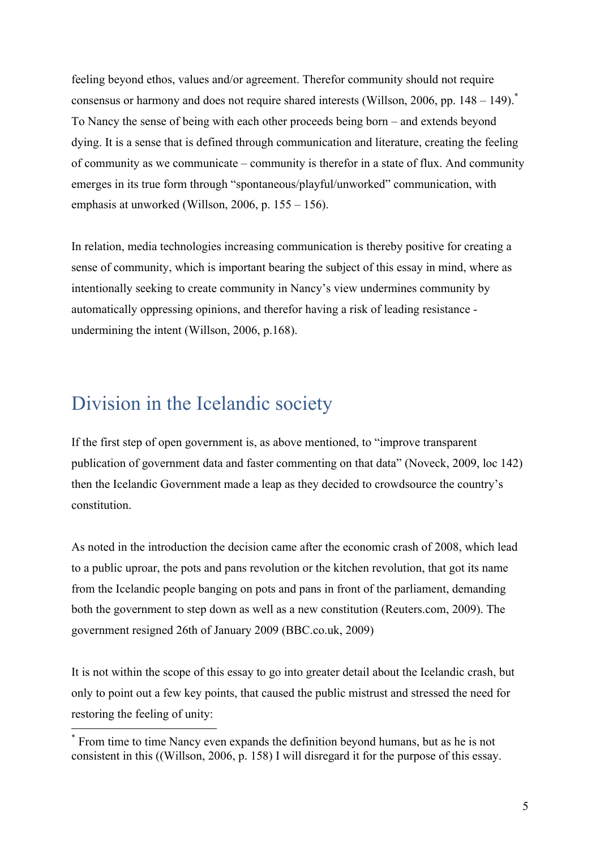feeling beyond ethos, values and/or agreement. Therefor community should not require consensus or harmony and does not require shared interests (Willson, 2006, pp.  $148 - 149$ ). To Nancy the sense of being with each other proceeds being born – and extends beyond dying. It is a sense that is defined through communication and literature, creating the feeling of community as we communicate – community is therefor in a state of flux. And community emerges in its true form through "spontaneous/playful/unworked" communication, with emphasis at unworked (Willson, 2006, p. 155 – 156).

In relation, media technologies increasing communication is thereby positive for creating a sense of community, which is important bearing the subject of this essay in mind, where as intentionally seeking to create community in Nancy's view undermines community by automatically oppressing opinions, and therefor having a risk of leading resistance undermining the intent (Willson, 2006, p.168).

### Division in the Icelandic society

If the first step of open government is, as above mentioned, to "improve transparent publication of government data and faster commenting on that data" (Noveck, 2009, loc 142) then the Icelandic Government made a leap as they decided to crowdsource the country's constitution.

As noted in the introduction the decision came after the economic crash of 2008, which lead to a public uproar, the pots and pans revolution or the kitchen revolution, that got its name from the Icelandic people banging on pots and pans in front of the parliament, demanding both the government to step down as well as a new constitution (Reuters.com, 2009). The government resigned 26th of January 2009 (BBC.co.uk, 2009)

It is not within the scope of this essay to go into greater detail about the Icelandic crash, but only to point out a few key points, that caused the public mistrust and stressed the need for restoring the feeling of unity:

From time to time Nancy even expands the definition beyond humans, but as he is not consistent in this ((Willson, 2006, p. 158) I will disregard it for the purpose of this essay.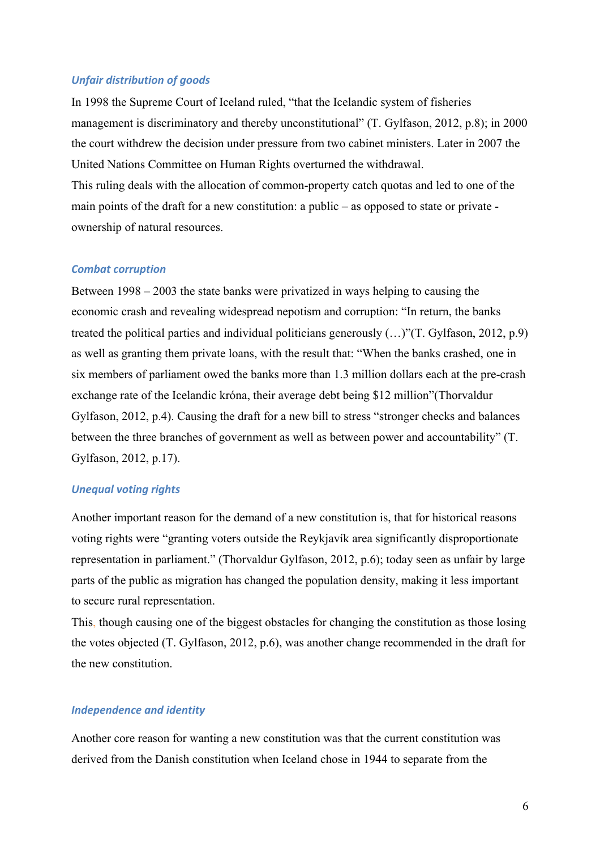#### *Unfair distribution of goods*

In 1998 the Supreme Court of Iceland ruled, "that the Icelandic system of fisheries management is discriminatory and thereby unconstitutional" (T. Gylfason, 2012, p.8); in 2000 the court withdrew the decision under pressure from two cabinet ministers. Later in 2007 the United Nations Committee on Human Rights overturned the withdrawal. This ruling deals with the allocation of common-property catch quotas and led to one of the main points of the draft for a new constitution: a public – as opposed to state or private ownership of natural resources.

#### *Combat corruption*

Between 1998 – 2003 the state banks were privatized in ways helping to causing the economic crash and revealing widespread nepotism and corruption: "In return, the banks treated the political parties and individual politicians generously (…)"(T. Gylfason, 2012, p.9) as well as granting them private loans, with the result that: "When the banks crashed, one in six members of parliament owed the banks more than 1.3 million dollars each at the pre-crash exchange rate of the Icelandic króna, their average debt being \$12 million"(Thorvaldur Gylfason, 2012, p.4). Causing the draft for a new bill to stress "stronger checks and balances between the three branches of government as well as between power and accountability" (T. Gylfason, 2012, p.17).

#### *Unequal voting rights*

Another important reason for the demand of a new constitution is, that for historical reasons voting rights were "granting voters outside the Reykjavík area significantly disproportionate representation in parliament." (Thorvaldur Gylfason, 2012, p.6); today seen as unfair by large parts of the public as migration has changed the population density, making it less important to secure rural representation.

This, though causing one of the biggest obstacles for changing the constitution as those losing the votes objected (T. Gylfason, 2012, p.6), was another change recommended in the draft for the new constitution.

#### *Independence and identity*

Another core reason for wanting a new constitution was that the current constitution was derived from the Danish constitution when Iceland chose in 1944 to separate from the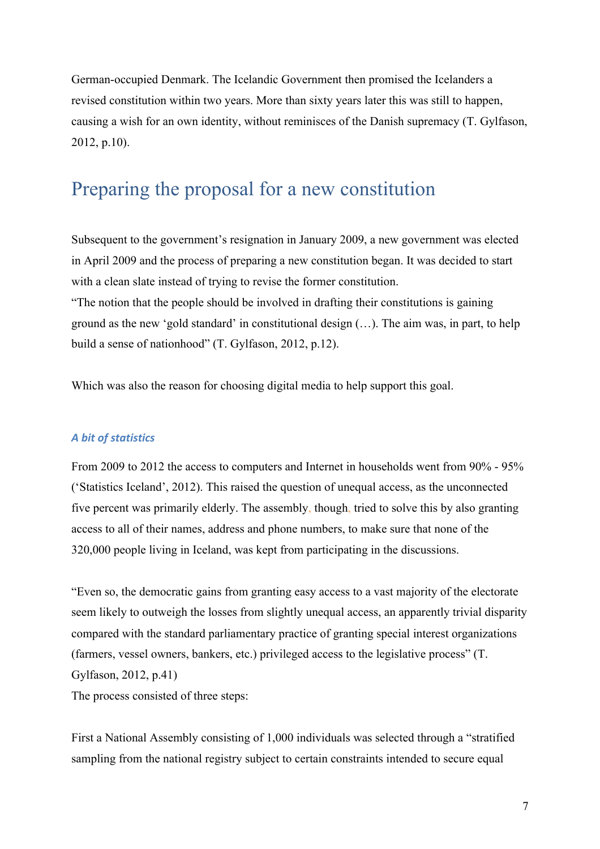German-occupied Denmark. The Icelandic Government then promised the Icelanders a revised constitution within two years. More than sixty years later this was still to happen, causing a wish for an own identity, without reminisces of the Danish supremacy (T. Gylfason, 2012, p.10).

### Preparing the proposal for a new constitution

Subsequent to the government's resignation in January 2009, a new government was elected in April 2009 and the process of preparing a new constitution began. It was decided to start with a clean slate instead of trying to revise the former constitution.

"The notion that the people should be involved in drafting their constitutions is gaining ground as the new 'gold standard' in constitutional design (…). The aim was, in part, to help build a sense of nationhood" (T. Gylfason, 2012, p.12).

Which was also the reason for choosing digital media to help support this goal.

### *A bit of statistics*

From 2009 to 2012 the access to computers and Internet in households went from 90% - 95% ('Statistics Iceland', 2012). This raised the question of unequal access, as the unconnected five percent was primarily elderly. The assembly, though, tried to solve this by also granting access to all of their names, address and phone numbers, to make sure that none of the 320,000 people living in Iceland, was kept from participating in the discussions.

"Even so, the democratic gains from granting easy access to a vast majority of the electorate seem likely to outweigh the losses from slightly unequal access, an apparently trivial disparity compared with the standard parliamentary practice of granting special interest organizations (farmers, vessel owners, bankers, etc.) privileged access to the legislative process" (T. Gylfason, 2012, p.41)

The process consisted of three steps:

First a National Assembly consisting of 1,000 individuals was selected through a "stratified sampling from the national registry subject to certain constraints intended to secure equal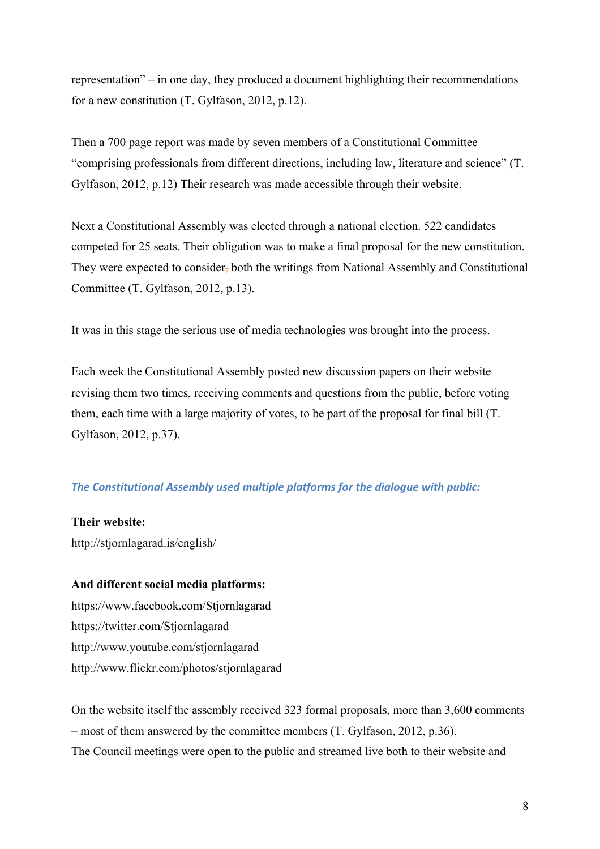representation" – in one day, they produced a document highlighting their recommendations for a new constitution (T. Gylfason, 2012, p.12).

Then a 700 page report was made by seven members of a Constitutional Committee "comprising professionals from different directions, including law, literature and science" (T. Gylfason, 2012, p.12) Their research was made accessible through their website.

Next a Constitutional Assembly was elected through a national election. 522 candidates competed for 25 seats. Their obligation was to make a final proposal for the new constitution. They were expected to consider, both the writings from National Assembly and Constitutional Committee (T. Gylfason, 2012, p.13).

It was in this stage the serious use of media technologies was brought into the process.

Each week the Constitutional Assembly posted new discussion papers on their website revising them two times, receiving comments and questions from the public, before voting them, each time with a large majority of votes, to be part of the proposal for final bill (T. Gylfason, 2012, p.37).

#### **The Constitutional Assembly used multiple platforms for the dialogue with public:**

**Their website:** 

http://stjornlagarad.is/english/

#### **And different social media platforms:**

https://www.facebook.com/Stjornlagarad https://twitter.com/Stjornlagarad http://www.youtube.com/stjornlagarad http://www.flickr.com/photos/stjornlagarad

On the website itself the assembly received 323 formal proposals, more than 3,600 comments – most of them answered by the committee members (T. Gylfason, 2012, p.36). The Council meetings were open to the public and streamed live both to their website and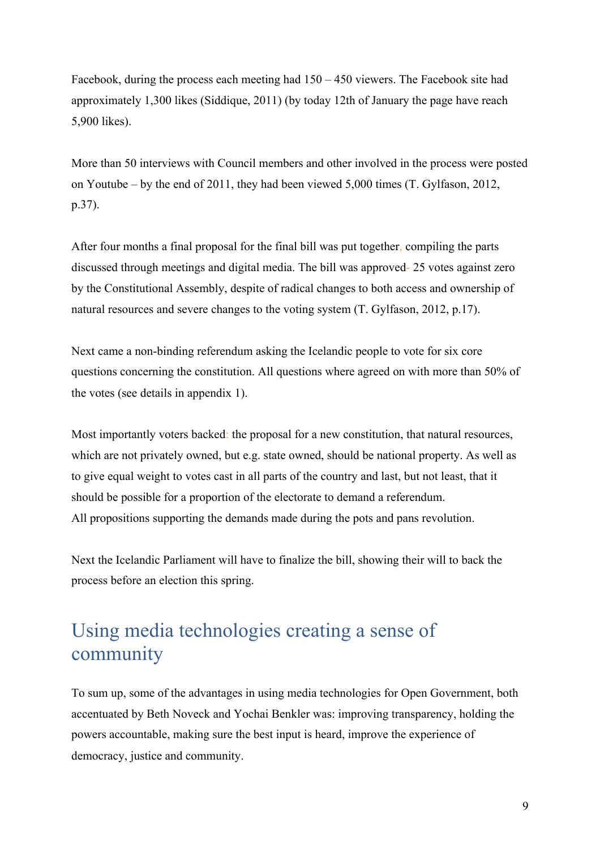Facebook, during the process each meeting had 150 – 450 viewers. The Facebook site had approximately 1,300 likes (Siddique, 2011) (by today 12th of January the page have reach 5,900 likes).

More than 50 interviews with Council members and other involved in the process were posted on Youtube – by the end of 2011, they had been viewed 5,000 times (T. Gylfason, 2012, p.37).

After four months a final proposal for the final bill was put together, compiling the parts discussed through meetings and digital media. The bill was approved- 25 votes against zero by the Constitutional Assembly, despite of radical changes to both access and ownership of natural resources and severe changes to the voting system (T. Gylfason, 2012, p.17).

Next came a non-binding referendum asking the Icelandic people to vote for six core questions concerning the constitution. All questions where agreed on with more than 50% of the votes (see details in appendix 1).

Most importantly voters backed: the proposal for a new constitution, that natural resources, which are not privately owned, but e.g. state owned, should be national property. As well as to give equal weight to votes cast in all parts of the country and last, but not least, that it should be possible for a proportion of the electorate to demand a referendum. All propositions supporting the demands made during the pots and pans revolution.

Next the Icelandic Parliament will have to finalize the bill, showing their will to back the process before an election this spring.

# Using media technologies creating a sense of community

To sum up, some of the advantages in using media technologies for Open Government, both accentuated by Beth Noveck and Yochai Benkler was: improving transparency, holding the powers accountable, making sure the best input is heard, improve the experience of democracy, justice and community.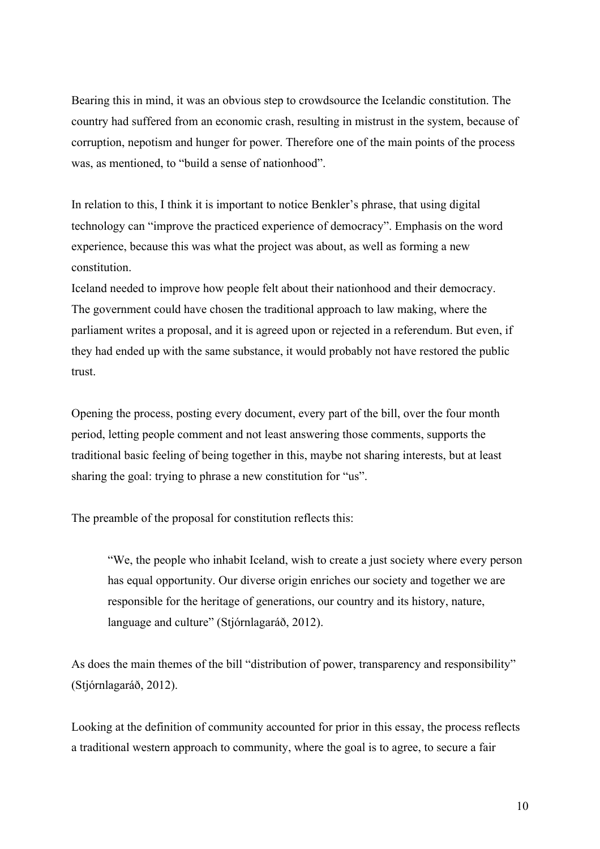Bearing this in mind, it was an obvious step to crowdsource the Icelandic constitution. The country had suffered from an economic crash, resulting in mistrust in the system, because of corruption, nepotism and hunger for power. Therefore one of the main points of the process was, as mentioned, to "build a sense of nationhood".

In relation to this, I think it is important to notice Benkler's phrase, that using digital technology can "improve the practiced experience of democracy". Emphasis on the word experience, because this was what the project was about, as well as forming a new constitution.

Iceland needed to improve how people felt about their nationhood and their democracy. The government could have chosen the traditional approach to law making, where the parliament writes a proposal, and it is agreed upon or rejected in a referendum. But even, if they had ended up with the same substance, it would probably not have restored the public trust.

Opening the process, posting every document, every part of the bill, over the four month period, letting people comment and not least answering those comments, supports the traditional basic feeling of being together in this, maybe not sharing interests, but at least sharing the goal: trying to phrase a new constitution for "us".

The preamble of the proposal for constitution reflects this:

"We, the people who inhabit Iceland, wish to create a just society where every person has equal opportunity. Our diverse origin enriches our society and together we are responsible for the heritage of generations, our country and its history, nature, language and culture" (Stjórnlagaráð, 2012).

As does the main themes of the bill "distribution of power, transparency and responsibility" (Stjórnlagaráð, 2012).

Looking at the definition of community accounted for prior in this essay, the process reflects a traditional western approach to community, where the goal is to agree, to secure a fair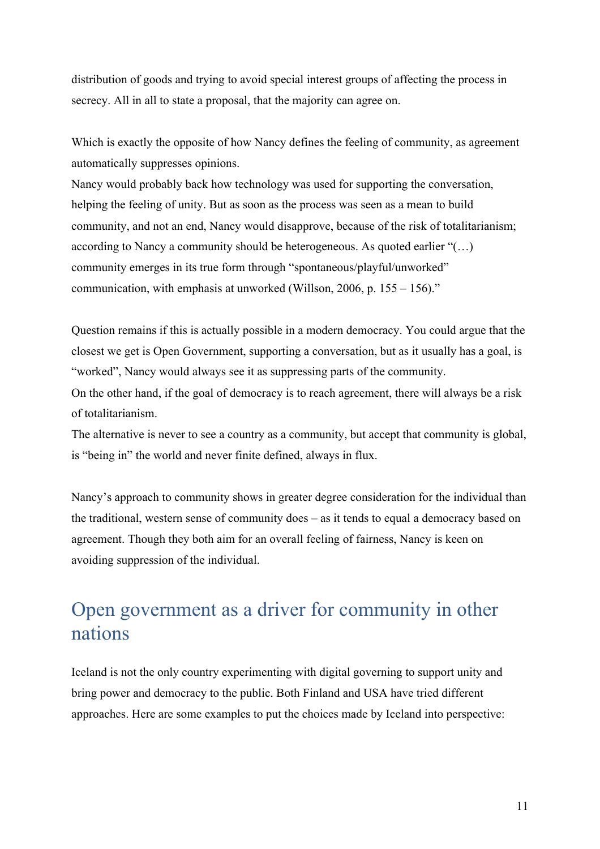distribution of goods and trying to avoid special interest groups of affecting the process in secrecy. All in all to state a proposal, that the majority can agree on.

Which is exactly the opposite of how Nancy defines the feeling of community, as agreement automatically suppresses opinions.

Nancy would probably back how technology was used for supporting the conversation, helping the feeling of unity. But as soon as the process was seen as a mean to build community, and not an end, Nancy would disapprove, because of the risk of totalitarianism; according to Nancy a community should be heterogeneous. As quoted earlier "(…) community emerges in its true form through "spontaneous/playful/unworked" communication, with emphasis at unworked (Willson, 2006, p. 155 – 156)."

Question remains if this is actually possible in a modern democracy. You could argue that the closest we get is Open Government, supporting a conversation, but as it usually has a goal, is "worked", Nancy would always see it as suppressing parts of the community.

On the other hand, if the goal of democracy is to reach agreement, there will always be a risk of totalitarianism.

The alternative is never to see a country as a community, but accept that community is global, is "being in" the world and never finite defined, always in flux.

Nancy's approach to community shows in greater degree consideration for the individual than the traditional, western sense of community does – as it tends to equal a democracy based on agreement. Though they both aim for an overall feeling of fairness, Nancy is keen on avoiding suppression of the individual.

## Open government as a driver for community in other nations

Iceland is not the only country experimenting with digital governing to support unity and bring power and democracy to the public. Both Finland and USA have tried different approaches. Here are some examples to put the choices made by Iceland into perspective: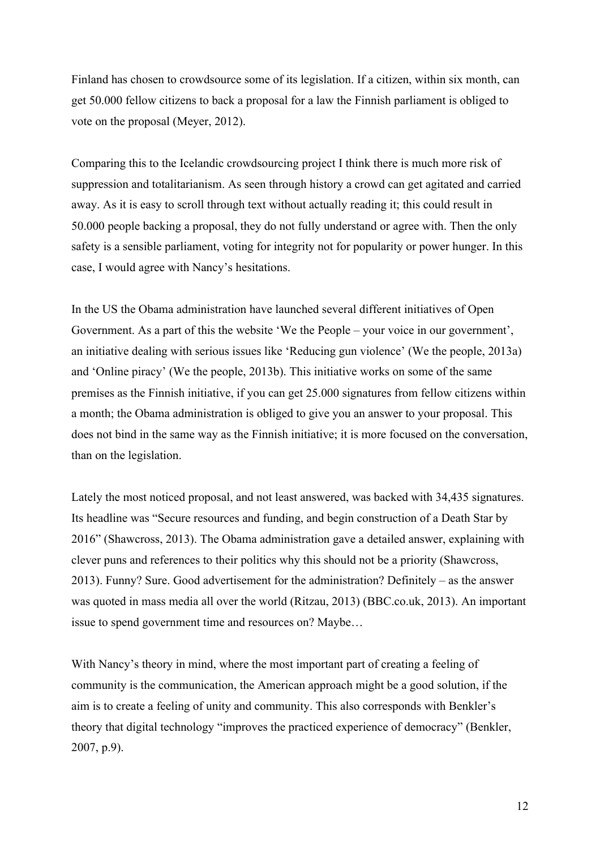Finland has chosen to crowdsource some of its legislation. If a citizen, within six month, can get 50.000 fellow citizens to back a proposal for a law the Finnish parliament is obliged to vote on the proposal (Meyer, 2012).

Comparing this to the Icelandic crowdsourcing project I think there is much more risk of suppression and totalitarianism. As seen through history a crowd can get agitated and carried away. As it is easy to scroll through text without actually reading it; this could result in 50.000 people backing a proposal, they do not fully understand or agree with. Then the only safety is a sensible parliament, voting for integrity not for popularity or power hunger. In this case, I would agree with Nancy's hesitations.

In the US the Obama administration have launched several different initiatives of Open Government. As a part of this the website 'We the People – your voice in our government', an initiative dealing with serious issues like 'Reducing gun violence' (We the people, 2013a) and 'Online piracy' (We the people, 2013b). This initiative works on some of the same premises as the Finnish initiative, if you can get 25.000 signatures from fellow citizens within a month; the Obama administration is obliged to give you an answer to your proposal. This does not bind in the same way as the Finnish initiative; it is more focused on the conversation, than on the legislation.

Lately the most noticed proposal, and not least answered, was backed with 34,435 signatures. Its headline was "Secure resources and funding, and begin construction of a Death Star by 2016" (Shawcross, 2013). The Obama administration gave a detailed answer, explaining with clever puns and references to their politics why this should not be a priority (Shawcross, 2013). Funny? Sure. Good advertisement for the administration? Definitely – as the answer was quoted in mass media all over the world (Ritzau, 2013) (BBC.co.uk, 2013). An important issue to spend government time and resources on? Maybe…

With Nancy's theory in mind, where the most important part of creating a feeling of community is the communication, the American approach might be a good solution, if the aim is to create a feeling of unity and community. This also corresponds with Benkler's theory that digital technology "improves the practiced experience of democracy" (Benkler, 2007, p.9).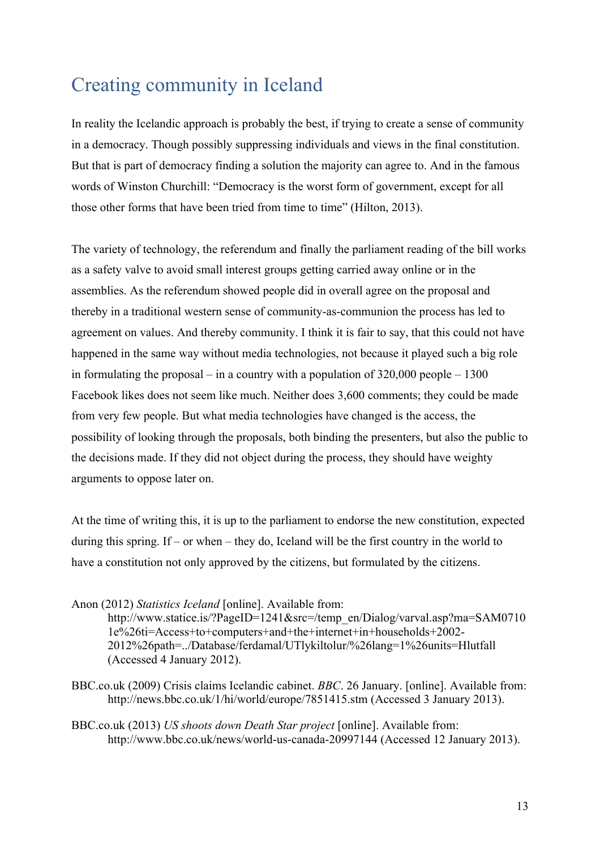# Creating community in Iceland

In reality the Icelandic approach is probably the best, if trying to create a sense of community in a democracy. Though possibly suppressing individuals and views in the final constitution. But that is part of democracy finding a solution the majority can agree to. And in the famous words of Winston Churchill: "Democracy is the worst form of government, except for all those other forms that have been tried from time to time" (Hilton, 2013).

The variety of technology, the referendum and finally the parliament reading of the bill works as a safety valve to avoid small interest groups getting carried away online or in the assemblies. As the referendum showed people did in overall agree on the proposal and thereby in a traditional western sense of community-as-communion the process has led to agreement on values. And thereby community. I think it is fair to say, that this could not have happened in the same way without media technologies, not because it played such a big role in formulating the proposal – in a country with a population of  $320,000$  people – 1300 Facebook likes does not seem like much. Neither does 3,600 comments; they could be made from very few people. But what media technologies have changed is the access, the possibility of looking through the proposals, both binding the presenters, but also the public to the decisions made. If they did not object during the process, they should have weighty arguments to oppose later on.

At the time of writing this, it is up to the parliament to endorse the new constitution, expected during this spring. If – or when – they do, Iceland will be the first country in the world to have a constitution not only approved by the citizens, but formulated by the citizens.

Anon (2012) *Statistics Iceland* [online]. Available from:

http://www.statice.is/?PageID=1241&src=/temp\_en/Dialog/varval.asp?ma=SAM0710 1e%26ti=Access+to+computers+and+the+internet+in+households+2002- 2012%26path=../Database/ferdamal/UTlykiltolur/%26lang=1%26units=Hlutfall (Accessed 4 January 2012).

- BBC.co.uk (2009) Crisis claims Icelandic cabinet. *BBC*. 26 January. [online]. Available from: http://news.bbc.co.uk/1/hi/world/europe/7851415.stm (Accessed 3 January 2013).
- BBC.co.uk (2013) *US shoots down Death Star project* [online]. Available from: http://www.bbc.co.uk/news/world-us-canada-20997144 (Accessed 12 January 2013).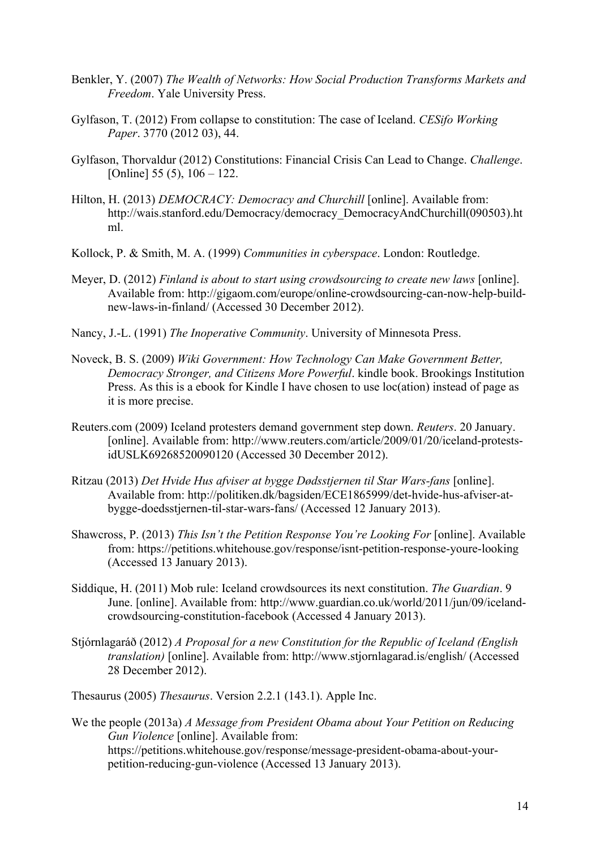- Benkler, Y. (2007) *The Wealth of Networks: How Social Production Transforms Markets and Freedom*. Yale University Press.
- Gylfason, T. (2012) From collapse to constitution: The case of Iceland. *CESifo Working Paper*. 3770 (2012 03), 44.
- Gylfason, Thorvaldur (2012) Constitutions: Financial Crisis Can Lead to Change. *Challenge*. [Online]  $55 (5)$ ,  $106 - 122$ .
- Hilton, H. (2013) *DEMOCRACY: Democracy and Churchill* [online]. Available from: http://wais.stanford.edu/Democracy/democracy\_DemocracyAndChurchill(090503).ht ml.
- Kollock, P. & Smith, M. A. (1999) *Communities in cyberspace*. London: Routledge.
- Meyer, D. (2012) *Finland is about to start using crowdsourcing to create new laws* [online]. Available from: http://gigaom.com/europe/online-crowdsourcing-can-now-help-buildnew-laws-in-finland/ (Accessed 30 December 2012).
- Nancy, J.-L. (1991) *The Inoperative Community*. University of Minnesota Press.
- Noveck, B. S. (2009) *Wiki Government: How Technology Can Make Government Better, Democracy Stronger, and Citizens More Powerful*. kindle book. Brookings Institution Press. As this is a ebook for Kindle I have chosen to use loc(ation) instead of page as it is more precise.
- Reuters.com (2009) Iceland protesters demand government step down. *Reuters*. 20 January. [online]. Available from: http://www.reuters.com/article/2009/01/20/iceland-protestsidUSLK69268520090120 (Accessed 30 December 2012).
- Ritzau (2013) *Det Hvide Hus afviser at bygge Dødsstjernen til Star Wars-fans* [online]. Available from: http://politiken.dk/bagsiden/ECE1865999/det-hvide-hus-afviser-atbygge-doedsstjernen-til-star-wars-fans/ (Accessed 12 January 2013).
- Shawcross, P. (2013) *This Isn't the Petition Response You're Looking For* [online]. Available from: https://petitions.whitehouse.gov/response/isnt-petition-response-youre-looking (Accessed 13 January 2013).
- Siddique, H. (2011) Mob rule: Iceland crowdsources its next constitution. *The Guardian*. 9 June. [online]. Available from: http://www.guardian.co.uk/world/2011/jun/09/icelandcrowdsourcing-constitution-facebook (Accessed 4 January 2013).
- Stjórnlagaráð (2012) *A Proposal for a new Constitution for the Republic of Iceland (English translation)* [online]. Available from: http://www.stjornlagarad.is/english/ (Accessed 28 December 2012).
- Thesaurus (2005) *Thesaurus*. Version 2.2.1 (143.1). Apple Inc.
- We the people (2013a) *A Message from President Obama about Your Petition on Reducing Gun Violence* [online]. Available from: https://petitions.whitehouse.gov/response/message-president-obama-about-yourpetition-reducing-gun-violence (Accessed 13 January 2013).